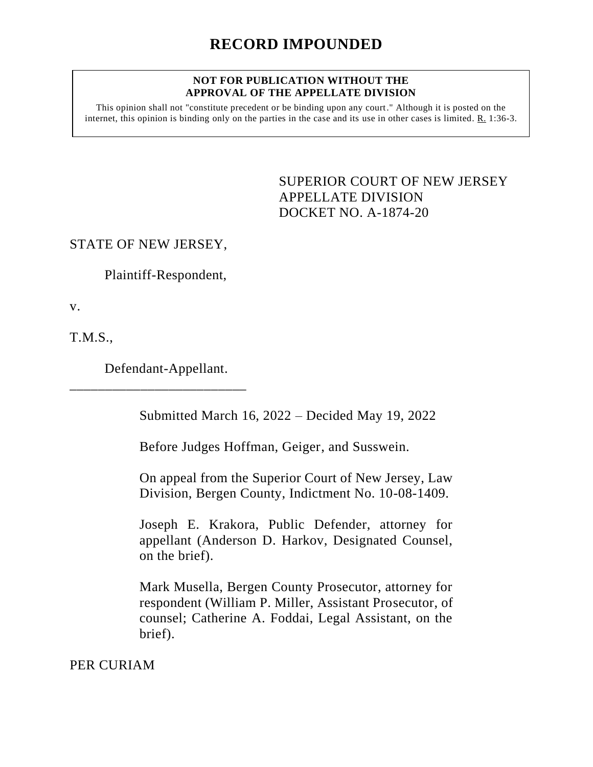#### **NOT FOR PUBLICATION WITHOUT THE APPROVAL OF THE APPELLATE DIVISION**

This opinion shall not "constitute precedent or be binding upon any court." Although it is posted on the internet, this opinion is binding only on the parties in the case and its use in other cases is limited. R. 1:36-3.

> <span id="page-0-0"></span>SUPERIOR COURT OF NEW JERSEY APPELLATE DIVISION DOCKET NO. A-1874-20

STATE OF NEW JERSEY,

Plaintiff-Respondent,

v.

T.M.S.,

Defendant-Appellant.

\_\_\_\_\_\_\_\_\_\_\_\_\_\_\_\_\_\_\_\_\_\_\_\_\_

Submitted March 16, 2022 – Decided May 19, 2022

Before Judges Hoffman, Geiger, and Susswein.

On appeal from the Superior Court of New Jersey, Law Division, Bergen County, Indictment No. 10-08-1409.

Joseph E. Krakora, Public Defender, attorney for appellant (Anderson D. Harkov, Designated Counsel, on the brief).

Mark Musella, Bergen County Prosecutor, attorney for respondent (William P. Miller, Assistant Prosecutor, of counsel; Catherine A. Foddai, Legal Assistant, on the brief).

PER CURIAM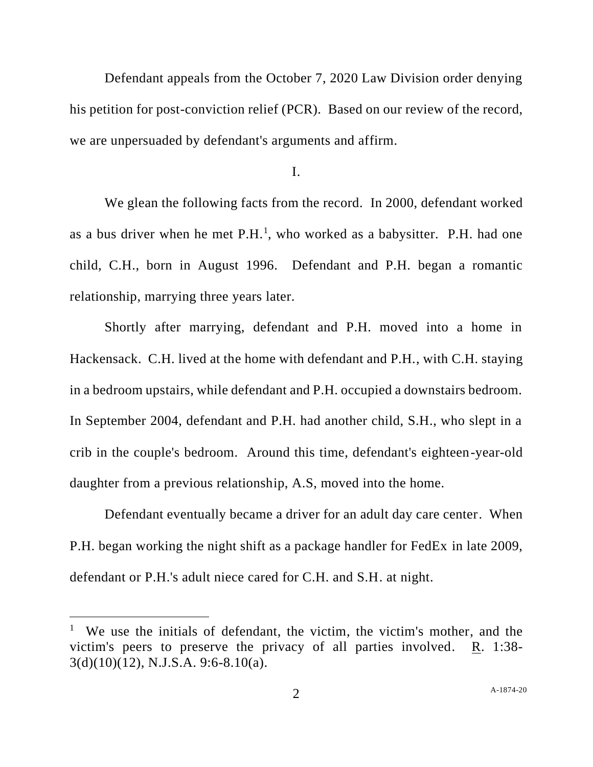Defendant appeals from the October 7, 2020 Law Division order denying his petition for post-conviction relief (PCR). Based on our review of the record, we are unpersuaded by defendant's arguments and affirm.

I.

We glean the following facts from the record. In 2000, defendant worked as a bus driver when he met  $P.H.<sup>1</sup>$ , who worked as a babysitter. P.H. had one child, C.H., born in August 1996. Defendant and P.H. began a romantic relationship, marrying three years later.

Shortly after marrying, defendant and P.H. moved into a home in Hackensack. C.H. lived at the home with defendant and P.H., with C.H. staying in a bedroom upstairs, while defendant and P.H. occupied a downstairs bedroom. In September 2004, defendant and P.H. had another child, S.H., who slept in a crib in the couple's bedroom. Around this time, defendant's eighteen-year-old daughter from a previous relationship, A.S, moved into the home.

Defendant eventually became a driver for an adult day care center. When P.H. began working the night shift as a package handler for FedEx in late 2009, defendant or P.H.'s adult niece cared for C.H. and S.H. at night.

<sup>&</sup>lt;sup>1</sup> We use the initials of defendant, the victim, the victim's mother, and the victim's peers to preserve the privacy of all parties involved. R. 1:38- 3(d)(10)(12), N.J.S.A. 9:6-8.10(a).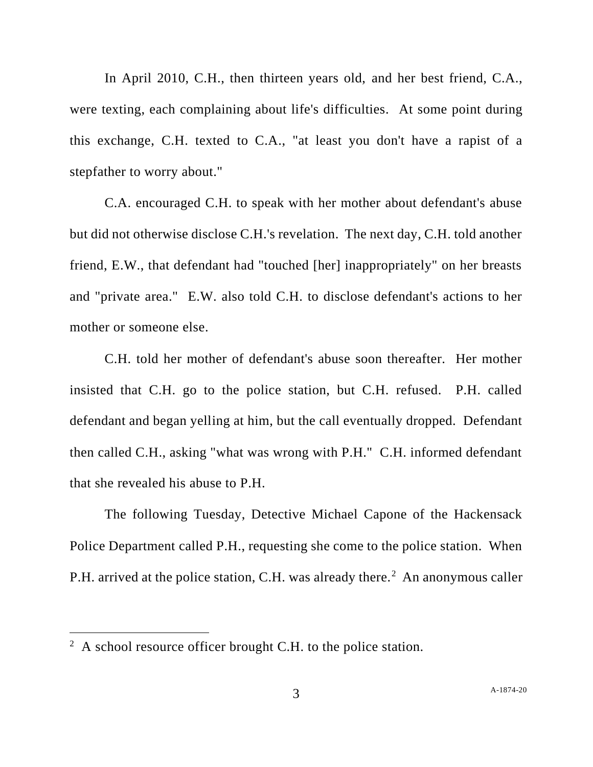In April 2010, C.H., then thirteen years old, and her best friend, C.A., were texting, each complaining about life's difficulties. At some point during this exchange, C.H. texted to C.A., "at least you don't have a rapist of a stepfather to worry about."

C.A. encouraged C.H. to speak with her mother about defendant's abuse but did not otherwise disclose C.H.'s revelation. The next day, C.H. told another friend, E.W., that defendant had "touched [her] inappropriately" on her breasts and "private area." E.W. also told C.H. to disclose defendant's actions to her mother or someone else.

C.H. told her mother of defendant's abuse soon thereafter. Her mother insisted that C.H. go to the police station, but C.H. refused. P.H. called defendant and began yelling at him, but the call eventually dropped. Defendant then called C.H., asking "what was wrong with P.H." C.H. informed defendant that she revealed his abuse to P.H.

The following Tuesday, Detective Michael Capone of the Hackensack Police Department called P.H., requesting she come to the police station. When P.H. arrived at the police station, C.H. was already there.<sup>2</sup> An anonymous caller

 $2 \text{ A school resource officer brought C.H. to the police station.}$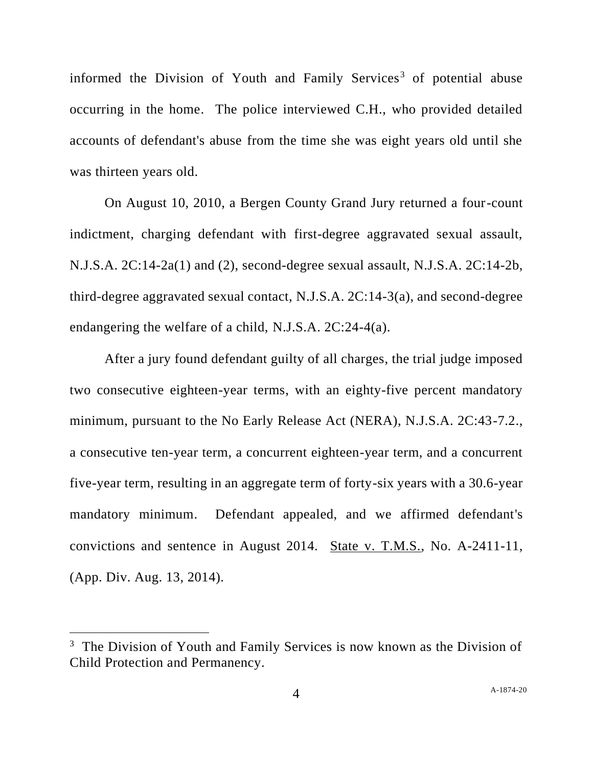informed the Division of Youth and Family Services<sup>3</sup> of potential abuse occurring in the home. The police interviewed C.H., who provided detailed accounts of defendant's abuse from the time she was eight years old until she was thirteen years old.

On August 10, 2010, a Bergen County Grand Jury returned a four-count indictment, charging defendant with first-degree aggravated sexual assault, N.J.S.A. 2C:14-2a(1) and (2), second-degree sexual assault, N.J.S.A. 2C:14-2b, third-degree aggravated sexual contact, N.J.S.A. 2C:14-3(a), and second-degree endangering the welfare of a child, N.J.S.A. 2C:24-4(a).

After a jury found defendant guilty of all charges, the trial judge imposed two consecutive eighteen-year terms, with an eighty-five percent mandatory minimum, pursuant to the No Early Release Act (NERA), N.J.S.A. 2C:43-7.2., a consecutive ten-year term, a concurrent eighteen-year term, and a concurrent five-year term, resulting in an aggregate term of forty-six years with a 30.6-year mandatory minimum. Defendant appealed, and we affirmed defendant's convictions and sentence in August 2014. State v. T.M.S., No. A-2411-11, (App. Div. Aug. 13, 2014).

<sup>&</sup>lt;sup>3</sup> The Division of Youth and Family Services is now known as the Division of Child Protection and Permanency.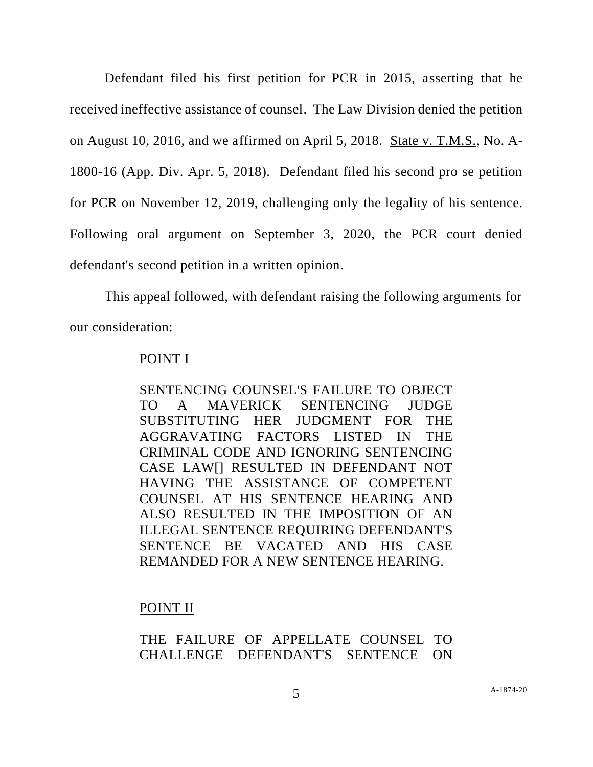Defendant filed his first petition for PCR in 2015, asserting that he received ineffective assistance of counsel. The Law Division denied the petition on August 10, 2016, and we affirmed on April 5, 2018. State v. T.M.S., No. A-1800-16 (App. Div. Apr. 5, 2018). Defendant filed his second pro se petition for PCR on November 12, 2019, challenging only the legality of his sentence. Following oral argument on September 3, 2020, the PCR court denied defendant's second petition in a written opinion.

This appeal followed, with defendant raising the following arguments for our consideration:

## POINT I

SENTENCING COUNSEL'S FAILURE TO OBJECT TO A MAVERICK SENTENCING JUDGE SUBSTITUTING HER JUDGMENT FOR THE AGGRAVATING FACTORS LISTED IN THE CRIMINAL CODE AND IGNORING SENTENCING CASE LAW[] RESULTED IN DEFENDANT NOT HAVING THE ASSISTANCE OF COMPETENT COUNSEL AT HIS SENTENCE HEARING AND ALSO RESULTED IN THE IMPOSITION OF AN ILLEGAL SENTENCE REQUIRING DEFENDANT'S SENTENCE BE VACATED AND HIS CASE REMANDED FOR A NEW SENTENCE HEARING.

## POINT II

# THE FAILURE OF APPELLATE COUNSEL TO CHALLENGE DEFENDANT'S SENTENCE ON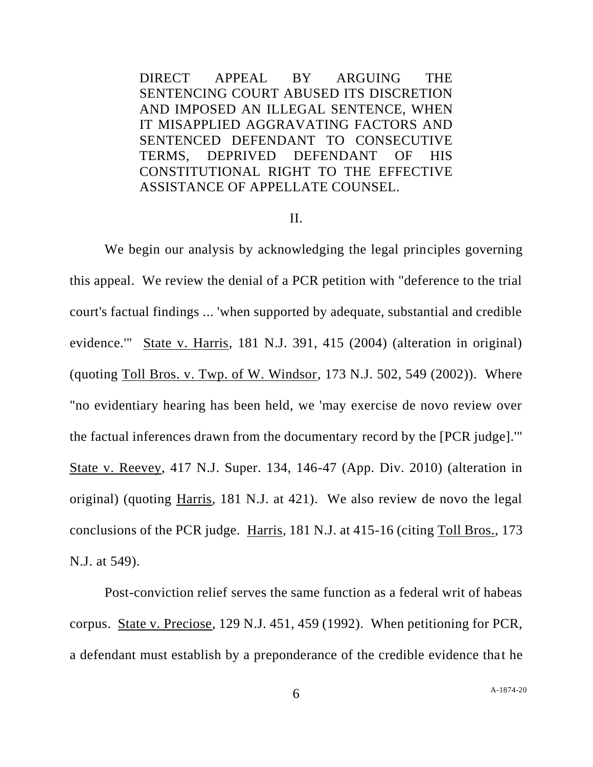DIRECT APPEAL BY ARGUING THE SENTENCING COURT ABUSED ITS DISCRETION AND IMPOSED AN ILLEGAL SENTENCE, WHEN IT MISAPPLIED AGGRAVATING FACTORS AND SENTENCED DEFENDANT TO CONSECUTIVE TERMS, DEPRIVED DEFENDANT OF HIS CONSTITUTIONAL RIGHT TO THE EFFECTIVE ASSISTANCE OF APPELLATE COUNSEL.

#### II.

We begin our analysis by acknowledging the legal principles governing this appeal. We review the denial of a PCR petition with "deference to the trial court's factual findings ... 'when supported by adequate, substantial and credible evidence.'" State v. Harris, 181 N.J. 391, 415 (2004) (alteration in original) (quoting Toll Bros. v. Twp. of W. Windsor, 173 N.J. 502, 549 (2002)). Where "no evidentiary hearing has been held, we 'may exercise de novo review over the factual inferences drawn from the documentary record by the [PCR judge].'" State v. Reevey, 417 N.J. Super. 134, 146-47 (App. Div. 2010) (alteration in original) (quoting Harris, 181 N.J. at 421). We also review de novo the legal conclusions of the PCR judge. Harris, 181 N.J. at 415-16 (citing Toll Bros., 173 N.J. at 549).

Post-conviction relief serves the same function as a federal writ of habeas corpus. State v. Preciose, 129 N.J. 451, 459 (1992). When petitioning for PCR, a defendant must establish by a preponderance of the credible evidence that he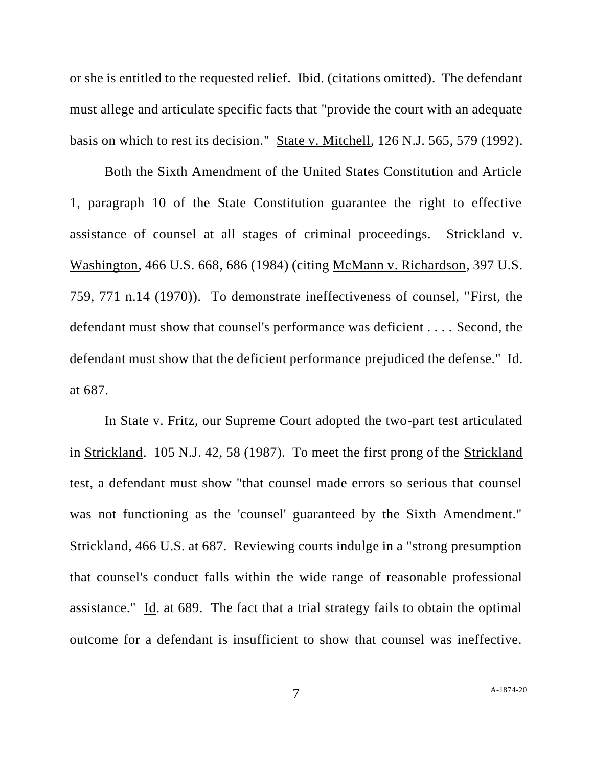or she is entitled to the requested relief. Ibid. (citations omitted). The defendant must allege and articulate specific facts that "provide the court with an adequate basis on which to rest its decision." State v. Mitchell, 126 N.J. 565, 579 (1992).

Both the Sixth Amendment of the United States Constitution and Article 1, paragraph 10 of the State Constitution guarantee the right to effective assistance of counsel at all stages of criminal proceedings. Strickland v. Washington, 466 U.S. 668, 686 (1984) (citing McMann v. Richardson, 397 U.S. 759, 771 n.14 (1970)). To demonstrate ineffectiveness of counsel, "First, the defendant must show that counsel's performance was deficient . . . . Second, the defendant must show that the deficient performance prejudiced the defense." Id. at 687.

In State v. Fritz, our Supreme Court adopted the two-part test articulated in Strickland. 105 N.J. 42, 58 (1987). To meet the first prong of the Strickland test, a defendant must show "that counsel made errors so serious that counsel was not functioning as the 'counsel' guaranteed by the Sixth Amendment." Strickland, 466 U.S. at 687. Reviewing courts indulge in a "strong presumption that counsel's conduct falls within the wide range of reasonable professional assistance." Id. at 689. The fact that a trial strategy fails to obtain the optimal outcome for a defendant is insufficient to show that counsel was ineffective.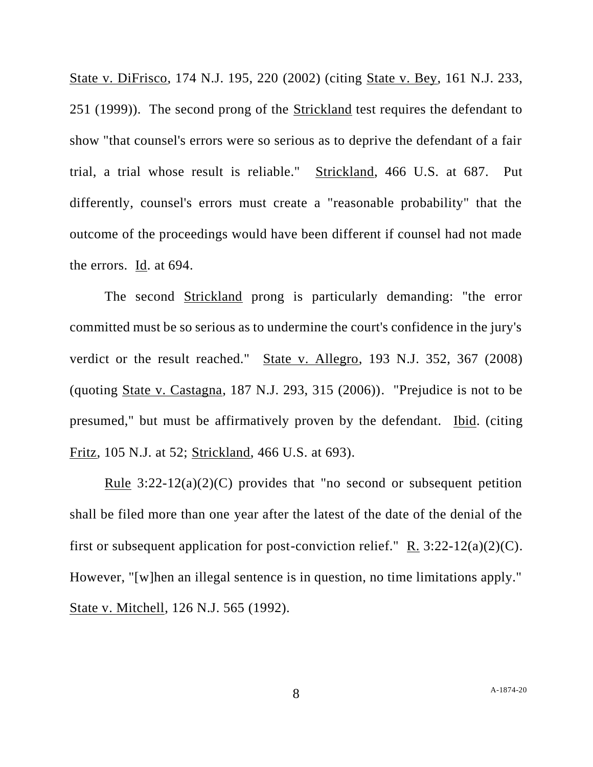State v. DiFrisco, 174 N.J. 195, 220 (2002) (citing State v. Bey, 161 N.J. 233, 251 (1999)). The second prong of the Strickland test requires the defendant to show "that counsel's errors were so serious as to deprive the defendant of a fair trial, a trial whose result is reliable." Strickland, 466 U.S. at 687. Put differently, counsel's errors must create a "reasonable probability" that the outcome of the proceedings would have been different if counsel had not made the errors. Id. at 694.

The second Strickland prong is particularly demanding: "the error committed must be so serious as to undermine the court's confidence in the jury's verdict or the result reached." State v. Allegro, 193 N.J. 352, 367 (2008) (quoting State v. Castagna, 187 N.J. 293, 315 (2006)). "Prejudice is not to be presumed," but must be affirmatively proven by the defendant. Ibid. (citing Fritz, 105 N.J. at 52; Strickland, 466 U.S. at 693).

<u>Rule</u>  $3:22-12(a)(2)(C)$  provides that "no second or subsequent petition shall be filed more than one year after the latest of the date of the denial of the first or subsequent application for post-conviction relief." R.  $3:22-12(a)(2)(C)$ . However, "[w]hen an illegal sentence is in question, no time limitations apply." State v. Mitchell, 126 N.J. 565 (1992).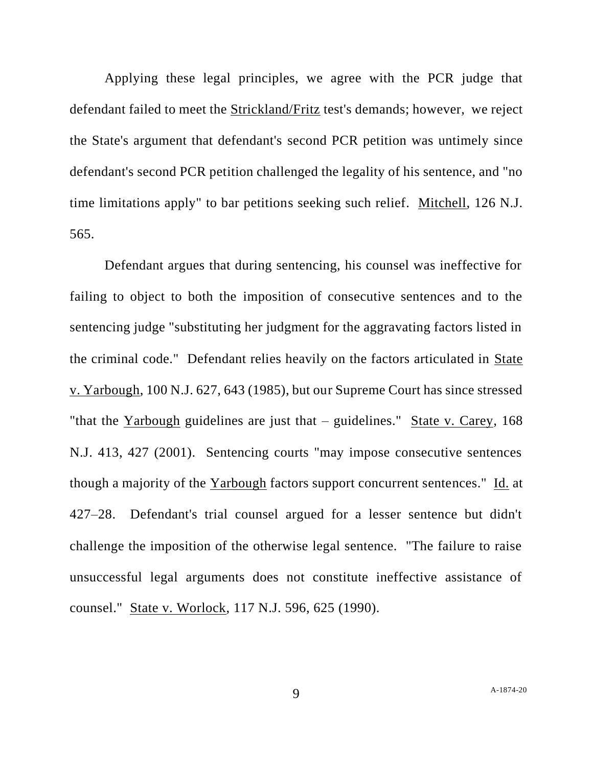Applying these legal principles, we agree with the PCR judge that defendant failed to meet the Strickland/Fritz test's demands; however, we reject the State's argument that defendant's second PCR petition was untimely since defendant's second PCR petition challenged the legality of his sentence, and "no time limitations apply" to bar petitions seeking such relief. Mitchell, 126 N.J. 565.

Defendant argues that during sentencing, his counsel was ineffective for failing to object to both the imposition of consecutive sentences and to the sentencing judge "substituting her judgment for the aggravating factors listed in the criminal code." Defendant relies heavily on the factors articulated in State v. Yarbough, 100 N.J. 627, 643 (1985), but our Supreme Court has since stressed "that the Yarbough guidelines are just that – guidelines." State v. Carey, 168 N.J. 413, 427 (2001). Sentencing courts "may impose consecutive sentences though a majority of the Yarbough factors support concurrent sentences." Id. at 427–28. Defendant's trial counsel argued for a lesser sentence but didn't challenge the imposition of the otherwise legal sentence. "The failure to raise unsuccessful legal arguments does not constitute ineffective assistance of counsel." State v. Worlock, 117 N.J. 596, 625 (1990).

9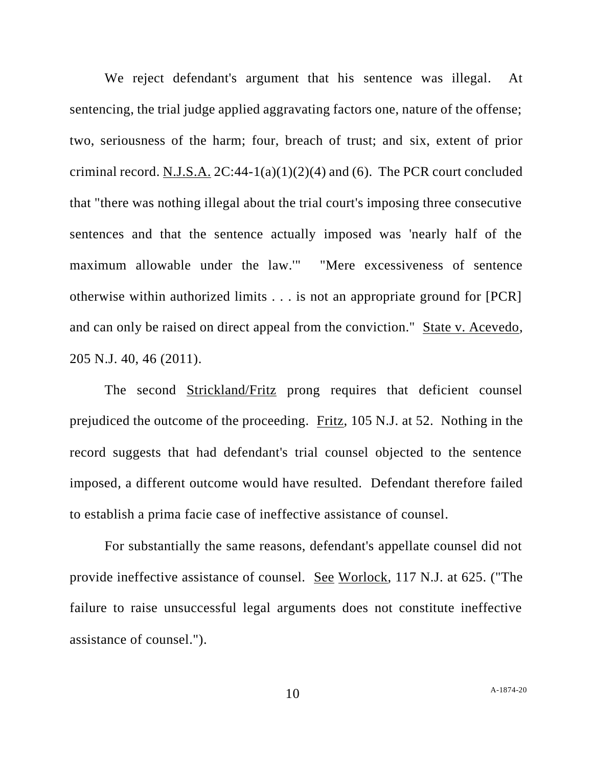We reject defendant's argument that his sentence was illegal. At sentencing, the trial judge applied aggravating factors one, nature of the offense; two, seriousness of the harm; four, breach of trust; and six, extent of prior criminal record. N.J.S.A.  $2C:44-1(a)(1)(2)(4)$  and (6). The PCR court concluded that "there was nothing illegal about the trial court's imposing three consecutive sentences and that the sentence actually imposed was 'nearly half of the maximum allowable under the law.'" "Mere excessiveness of sentence otherwise within authorized limits . . . is not an appropriate ground for [PCR] and can only be raised on direct appeal from the conviction." State v. Acevedo, 205 N.J. 40, 46 (2011).

The second **Strickland/Fritz** prong requires that deficient counsel prejudiced the outcome of the proceeding. Fritz, 105 N.J. at 52. Nothing in the record suggests that had defendant's trial counsel objected to the sentence imposed, a different outcome would have resulted. Defendant therefore failed to establish a prima facie case of ineffective assistance of counsel.

For substantially the same reasons, defendant's appellate counsel did not provide ineffective assistance of counsel. See Worlock, 117 N.J. at 625. ("The failure to raise unsuccessful legal arguments does not constitute ineffective assistance of counsel.").